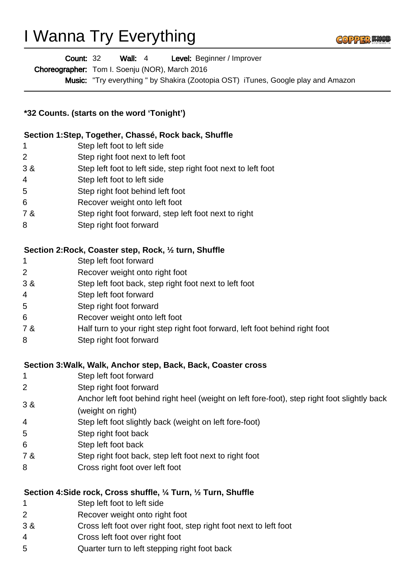# I Wanna Try Everything



| <b>Count: 32</b> | Wall: $4$ | Level: Beginner / Improver |
|------------------|-----------|----------------------------|
|------------------|-----------|----------------------------|

Choreographer: Tom I. Soenju (NOR), March 2016

Music: "Try everything " by Shakira (Zootopia OST) iTunes, Google play and Amazon

# **\*32 Counts. (starts on the word 'Tonight')**

### **Section 1:Step, Together, Chassé, Rock back, Shuffle**

- 1 Step left foot to left side
- 2 Step right foot next to left foot
- 3 & Step left foot to left side, step right foot next to left foot
- 4 Step left foot to left side
- 5 Step right foot behind left foot
- 6 Recover weight onto left foot
- 7 & Step right foot forward, step left foot next to right
- 8 Step right foot forward

#### **Section 2:Rock, Coaster step, Rock, ½ turn, Shuffle**

- 1 Step left foot forward
- 2 Recover weight onto right foot
- 3 & Step left foot back, step right foot next to left foot
- 4 Step left foot forward
- 5 Step right foot forward
- 6 Recover weight onto left foot
- 7 & Half turn to your right step right foot forward, left foot behind right foot
- 8 Step right foot forward

#### **Section 3:Walk, Walk, Anchor step, Back, Back, Coaster cross**

- 1 Step left foot forward
- 2 Step right foot forward
- 3 & Anchor left foot behind right heel (weight on left fore-foot), step right foot slightly back
- (weight on right)
- 4 Step left foot slightly back (weight on left fore-foot)
- 5 Step right foot back
- 6 Step left foot back
- 7 & Step right foot back, step left foot next to right foot
- 8 Cross right foot over left foot

## **Section 4:Side rock, Cross shuffle, ¼ Turn, ½ Turn, Shuffle**

- 1 Step left foot to left side
- 2 Recover weight onto right foot
- 3 & Cross left foot over right foot, step right foot next to left foot
- 4 Cross left foot over right foot
- 5 Quarter turn to left stepping right foot back